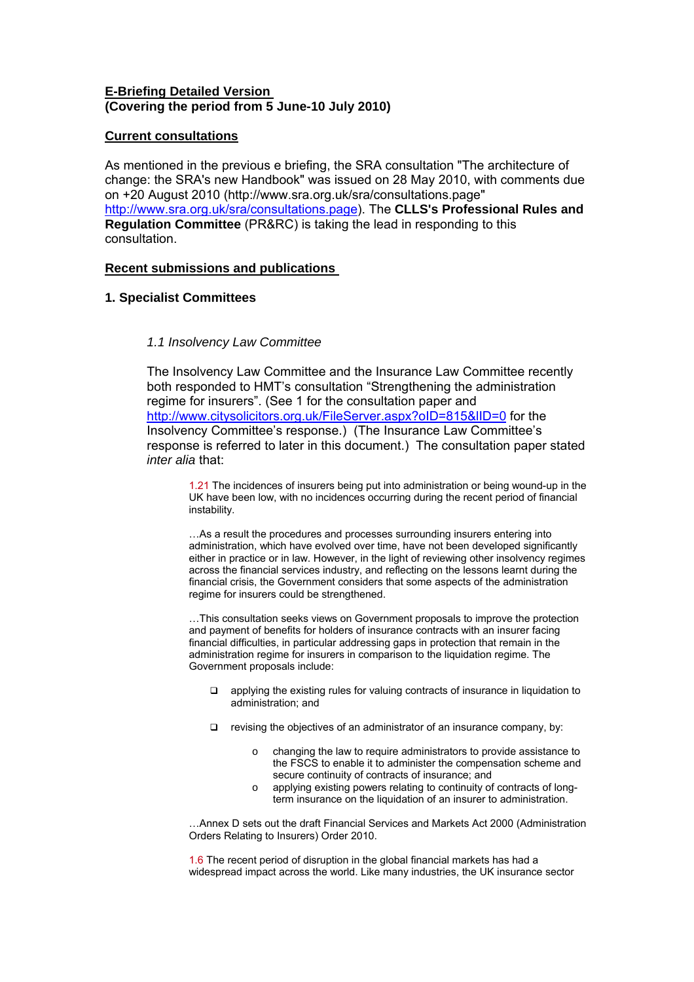# **E-Briefing Detailed Version (Covering the period from 5 June-10 July 2010)**

# **Current consultations**

As mentioned in the previous e briefing, the SRA consultation "The architecture of change: the SRA's new Handbook" was issued on 28 May 2010, with comments due on +20 August 2010 (http://www.sra.org.uk/sra/consultations.page" [http://www.sra.org.uk/sra/consultations.page\)](http://www.sra.org.uk/sra/consultations.page). The **CLLS's Professional Rules and Regulation Committee** (PR&RC) is taking the lead in responding to this consultation.

# **Recent submissions and publications**

# **1. Specialist Committees**

# *1.1 Insolvency Law Committee*

The Insolvency Law Committee and the Insurance Law Committee recently both responded to HMT's consultation "Strengthening the administration regime for insurers". (See 1 for the consultation paper and <http://www.citysolicitors.org.uk/FileServer.aspx?oID=815&lID=0> for the Insolvency Committee's response.) (The Insurance Law Committee's response is referred to later in this document.) The consultation paper stated *inter alia* that:

1.21 The incidences of insurers being put into administration or being wound-up in the UK have been low, with no incidences occurring during the recent period of financial instability.

…As a result the procedures and processes surrounding insurers entering into administration, which have evolved over time, have not been developed significantly either in practice or in law. However, in the light of reviewing other insolvency regimes across the financial services industry, and reflecting on the lessons learnt during the financial crisis, the Government considers that some aspects of the administration regime for insurers could be strengthened.

…This consultation seeks views on Government proposals to improve the protection and payment of benefits for holders of insurance contracts with an insurer facing financial difficulties, in particular addressing gaps in protection that remain in the administration regime for insurers in comparison to the liquidation regime. The Government proposals include:

- $\Box$  applying the existing rules for valuing contracts of insurance in liquidation to administration; and
- $\Box$  revising the objectives of an administrator of an insurance company, by:
	- o changing the law to require administrators to provide assistance to the FSCS to enable it to administer the compensation scheme and secure continuity of contracts of insurance; and
	- o applying existing powers relating to continuity of contracts of longterm insurance on the liquidation of an insurer to administration.

…Annex D sets out the draft Financial Services and Markets Act 2000 (Administration Orders Relating to Insurers) Order 2010.

1.6 The recent period of disruption in the global financial markets has had a widespread impact across the world. Like many industries, the UK insurance sector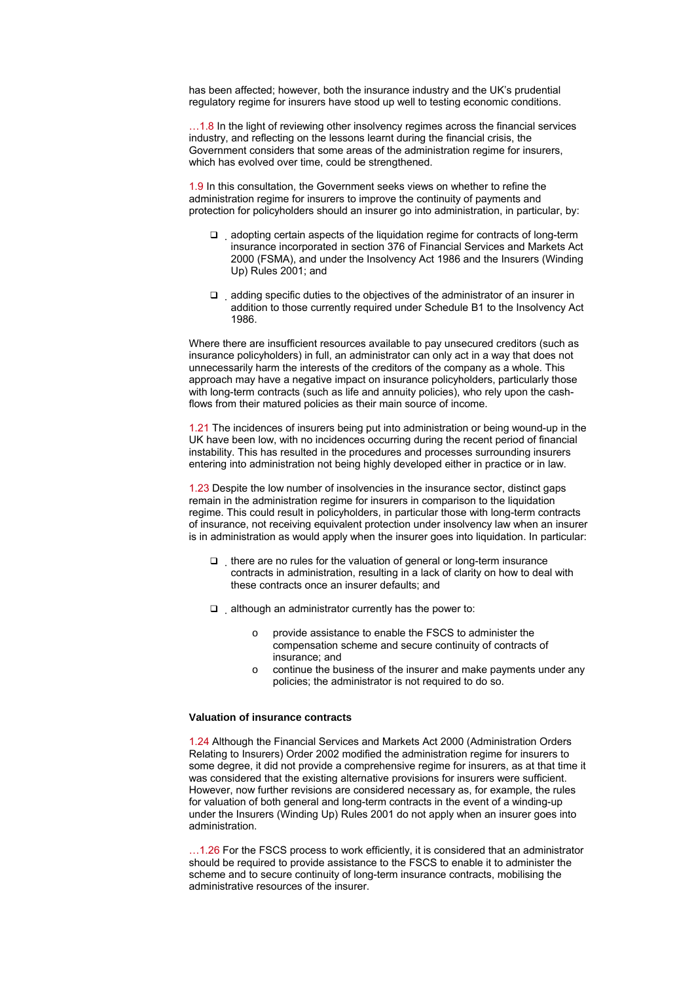has been affected; however, both the insurance industry and the UK's prudential regulatory regime for insurers have stood up well to testing economic conditions.

…1.8 In the light of reviewing other insolvency regimes across the financial services industry, and reflecting on the lessons learnt during the financial crisis, the Government considers that some areas of the administration regime for insurers, which has evolved over time, could be strengthened.

1.9 In this consultation, the Government seeks views on whether to refine the administration regime for insurers to improve the continuity of payments and protection for policyholders should an insurer go into administration, in particular, by:

- $\Box$  adopting certain aspects of the liquidation regime for contracts of long-term insurance incorporated in section 376 of Financial Services and Markets Act 2000 (FSMA), and under the Insolvency Act 1986 and the Insurers (Winding Up) Rules 2001; and
- $\Box$  adding specific duties to the objectives of the administrator of an insurer in addition to those currently required under Schedule B1 to the Insolvency Act 1986.

Where there are insufficient resources available to pay unsecured creditors (such as insurance policyholders) in full, an administrator can only act in a way that does not unnecessarily harm the interests of the creditors of the company as a whole. This approach may have a negative impact on insurance policyholders, particularly those with long-term contracts (such as life and annuity policies), who rely upon the cashflows from their matured policies as their main source of income.

1.21 The incidences of insurers being put into administration or being wound-up in the UK have been low, with no incidences occurring during the recent period of financial instability. This has resulted in the procedures and processes surrounding insurers entering into administration not being highly developed either in practice or in law.

1.23 Despite the low number of insolvencies in the insurance sector, distinct gaps remain in the administration regime for insurers in comparison to the liquidation regime. This could result in policyholders, in particular those with long-term contracts of insurance, not receiving equivalent protection under insolvency law when an insurer is in administration as would apply when the insurer goes into liquidation. In particular:

- $\Box$  there are no rules for the valuation of general or long-term insurance contracts in administration, resulting in a lack of clarity on how to deal with these contracts once an insurer defaults; and
- $\Box$  although an administrator currently has the power to:
	- o provide assistance to enable the FSCS to administer the compensation scheme and secure continuity of contracts of insurance; and
	- o continue the business of the insurer and make payments under any policies; the administrator is not required to do so.

#### **Valuation of insurance contracts**

1.24 Although the Financial Services and Markets Act 2000 (Administration Orders Relating to Insurers) Order 2002 modified the administration regime for insurers to some degree, it did not provide a comprehensive regime for insurers, as at that time it was considered that the existing alternative provisions for insurers were sufficient. However, now further revisions are considered necessary as, for example, the rules for valuation of both general and long-term contracts in the event of a winding-up under the Insurers (Winding Up) Rules 2001 do not apply when an insurer goes into administration.

…1.26 For the FSCS process to work efficiently, it is considered that an administrator should be required to provide assistance to the FSCS to enable it to administer the scheme and to secure continuity of long-term insurance contracts, mobilising the administrative resources of the insurer.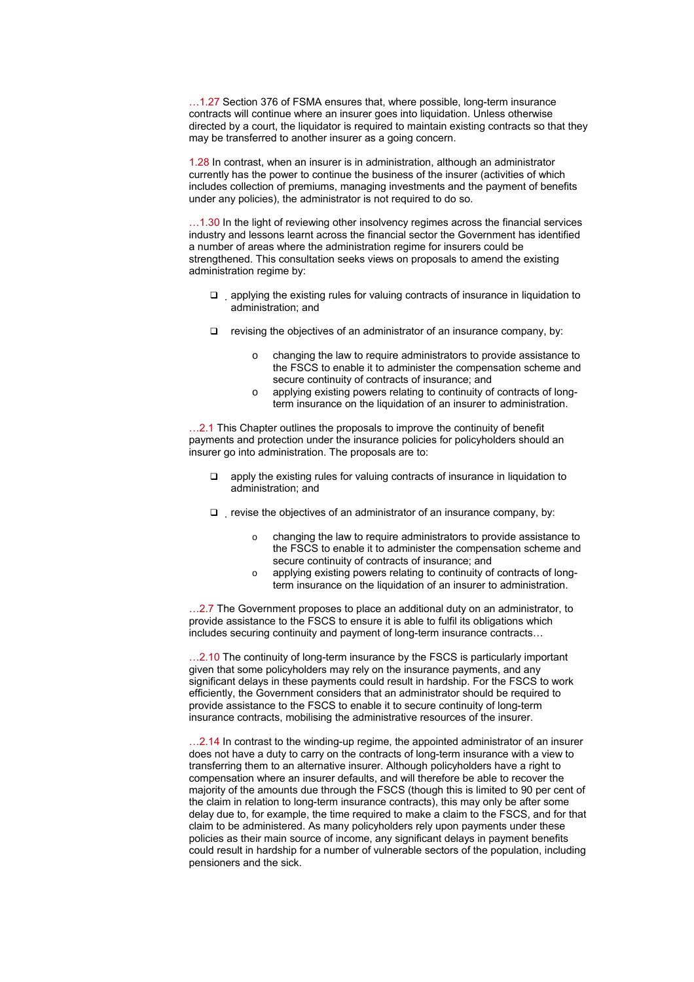…1.27 Section 376 of FSMA ensures that, where possible, long-term insurance contracts will continue where an insurer goes into liquidation. Unless otherwise directed by a court, the liquidator is required to maintain existing contracts so that they may be transferred to another insurer as a going concern.

1.28 In contrast, when an insurer is in administration, although an administrator currently has the power to continue the business of the insurer (activities of which includes collection of premiums, managing investments and the payment of benefits under any policies), the administrator is not required to do so.

...1.30 In the light of reviewing other insolvency regimes across the financial services industry and lessons learnt across the financial sector the Government has identified a number of areas where the administration regime for insurers could be strengthened. This consultation seeks views on proposals to amend the existing administration regime by:

- $\Box$  applying the existing rules for valuing contracts of insurance in liquidation to administration; and
- $\Box$  revising the objectives of an administrator of an insurance company, by:
	- o changing the law to require administrators to provide assistance to the FSCS to enable it to administer the compensation scheme and secure continuity of contracts of insurance; and
	- o applying existing powers relating to continuity of contracts of longterm insurance on the liquidation of an insurer to administration.

...2.1 This Chapter outlines the proposals to improve the continuity of benefit payments and protection under the insurance policies for policyholders should an insurer go into administration. The proposals are to:

- apply the existing rules for valuing contracts of insurance in liquidation to administration; and
- $\Box$  revise the objectives of an administrator of an insurance company, by:
	- o changing the law to require administrators to provide assistance to the FSCS to enable it to administer the compensation scheme and secure continuity of contracts of insurance; and
	- o applying existing powers relating to continuity of contracts of longterm insurance on the liquidation of an insurer to administration.

...2.7 The Government proposes to place an additional duty on an administrator, to provide assistance to the FSCS to ensure it is able to fulfil its obligations which includes securing continuity and payment of long-term insurance contracts…

...2.10 The continuity of long-term insurance by the FSCS is particularly important given that some policyholders may rely on the insurance payments, and any significant delays in these payments could result in hardship. For the FSCS to work efficiently, the Government considers that an administrator should be required to provide assistance to the FSCS to enable it to secure continuity of long-term insurance contracts, mobilising the administrative resources of the insurer.

…2.14 In contrast to the winding-up regime, the appointed administrator of an insurer does not have a duty to carry on the contracts of long-term insurance with a view to transferring them to an alternative insurer. Although policyholders have a right to compensation where an insurer defaults, and will therefore be able to recover the majority of the amounts due through the FSCS (though this is limited to 90 per cent of the claim in relation to long-term insurance contracts), this may only be after some delay due to, for example, the time required to make a claim to the FSCS, and for that claim to be administered. As many policyholders rely upon payments under these policies as their main source of income, any significant delays in payment benefits could result in hardship for a number of vulnerable sectors of the population, including pensioners and the sick.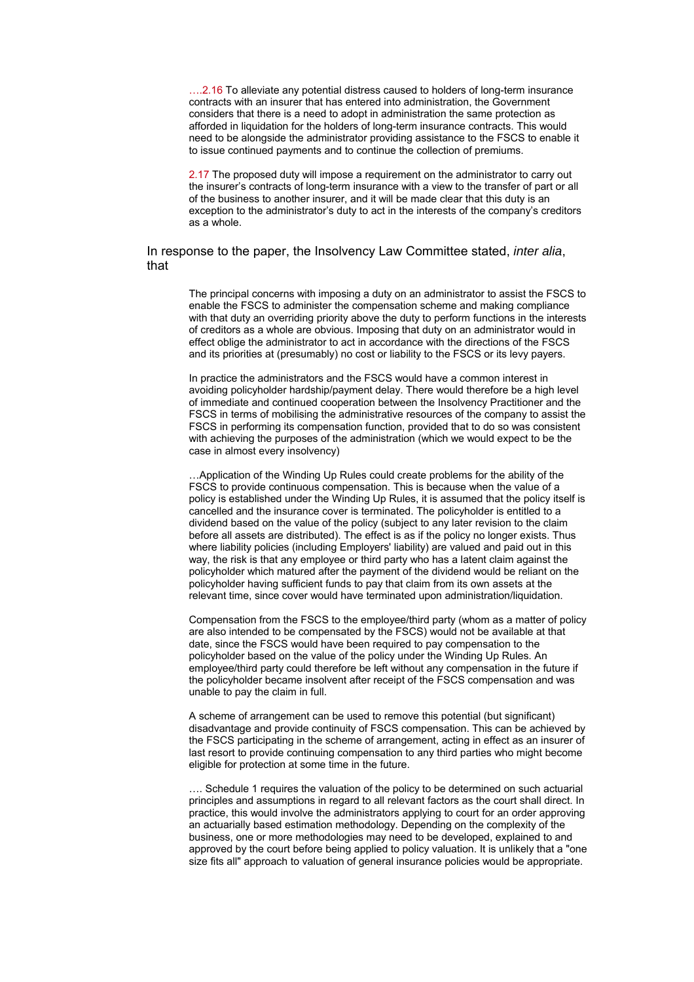....2.16 To alleviate any potential distress caused to holders of long-term insurance contracts with an insurer that has entered into administration, the Government considers that there is a need to adopt in administration the same protection as afforded in liquidation for the holders of long-term insurance contracts. This would need to be alongside the administrator providing assistance to the FSCS to enable it to issue continued payments and to continue the collection of premiums.

2.17 The proposed duty will impose a requirement on the administrator to carry out the insurer's contracts of long-term insurance with a view to the transfer of part or all of the business to another insurer, and it will be made clear that this duty is an exception to the administrator's duty to act in the interests of the company's creditors as a whole.

## In response to the paper, the Insolvency Law Committee stated, *inter alia*, that

The principal concerns with imposing a duty on an administrator to assist the FSCS to enable the FSCS to administer the compensation scheme and making compliance with that duty an overriding priority above the duty to perform functions in the interests of creditors as a whole are obvious. Imposing that duty on an administrator would in effect oblige the administrator to act in accordance with the directions of the FSCS and its priorities at (presumably) no cost or liability to the FSCS or its levy payers.

In practice the administrators and the FSCS would have a common interest in avoiding policyholder hardship/payment delay. There would therefore be a high level of immediate and continued cooperation between the Insolvency Practitioner and the FSCS in terms of mobilising the administrative resources of the company to assist the FSCS in performing its compensation function, provided that to do so was consistent with achieving the purposes of the administration (which we would expect to be the case in almost every insolvency)

…Application of the Winding Up Rules could create problems for the ability of the FSCS to provide continuous compensation. This is because when the value of a policy is established under the Winding Up Rules, it is assumed that the policy itself is cancelled and the insurance cover is terminated. The policyholder is entitled to a dividend based on the value of the policy (subject to any later revision to the claim before all assets are distributed). The effect is as if the policy no longer exists. Thus where liability policies (including Employers' liability) are valued and paid out in this way, the risk is that any employee or third party who has a latent claim against the policyholder which matured after the payment of the dividend would be reliant on the policyholder having sufficient funds to pay that claim from its own assets at the relevant time, since cover would have terminated upon administration/liquidation.

Compensation from the FSCS to the employee/third party (whom as a matter of policy are also intended to be compensated by the FSCS) would not be available at that date, since the FSCS would have been required to pay compensation to the policyholder based on the value of the policy under the Winding Up Rules. An employee/third party could therefore be left without any compensation in the future if the policyholder became insolvent after receipt of the FSCS compensation and was unable to pay the claim in full.

A scheme of arrangement can be used to remove this potential (but significant) disadvantage and provide continuity of FSCS compensation. This can be achieved by the FSCS participating in the scheme of arrangement, acting in effect as an insurer of last resort to provide continuing compensation to any third parties who might become eligible for protection at some time in the future.

…. Schedule 1 requires the valuation of the policy to be determined on such actuarial principles and assumptions in regard to all relevant factors as the court shall direct. In practice, this would involve the administrators applying to court for an order approving an actuarially based estimation methodology. Depending on the complexity of the business, one or more methodologies may need to be developed, explained to and approved by the court before being applied to policy valuation. It is unlikely that a "one size fits all" approach to valuation of general insurance policies would be appropriate.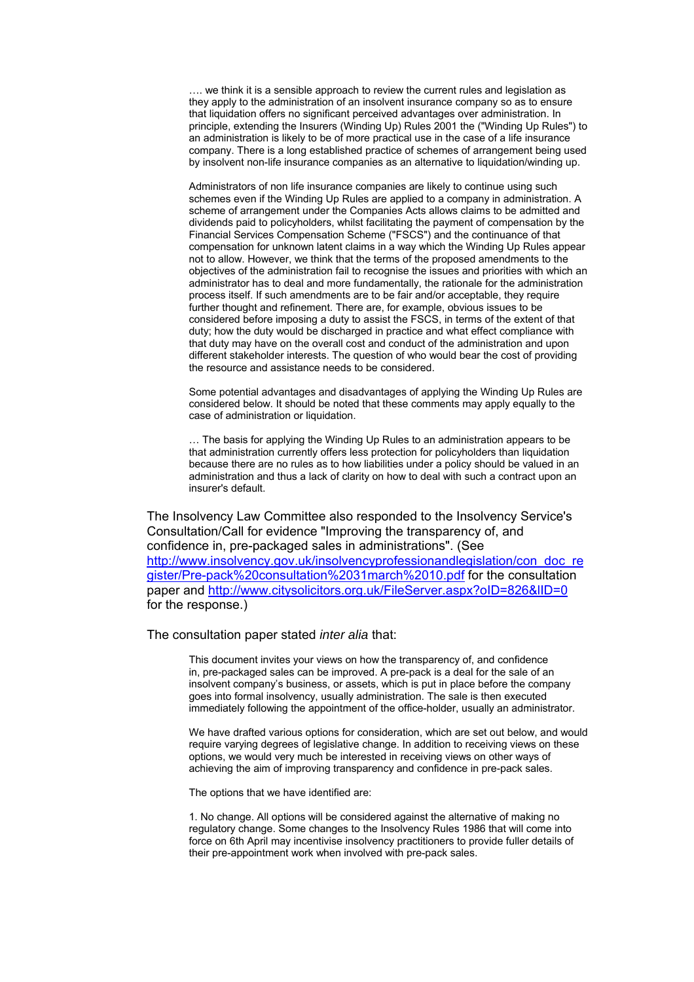…. we think it is a sensible approach to review the current rules and legislation as they apply to the administration of an insolvent insurance company so as to ensure that liquidation offers no significant perceived advantages over administration. In principle, extending the Insurers (Winding Up) Rules 2001 the ("Winding Up Rules") to an administration is likely to be of more practical use in the case of a life insurance company. There is a long established practice of schemes of arrangement being used by insolvent non-life insurance companies as an alternative to liquidation/winding up.

Administrators of non life insurance companies are likely to continue using such schemes even if the Winding Up Rules are applied to a company in administration. A scheme of arrangement under the Companies Acts allows claims to be admitted and dividends paid to policyholders, whilst facilitating the payment of compensation by the Financial Services Compensation Scheme ("FSCS") and the continuance of that compensation for unknown latent claims in a way which the Winding Up Rules appear not to allow. However, we think that the terms of the proposed amendments to the objectives of the administration fail to recognise the issues and priorities with which an administrator has to deal and more fundamentally, the rationale for the administration process itself. If such amendments are to be fair and/or acceptable, they require further thought and refinement. There are, for example, obvious issues to be considered before imposing a duty to assist the FSCS, in terms of the extent of that duty; how the duty would be discharged in practice and what effect compliance with that duty may have on the overall cost and conduct of the administration and upon different stakeholder interests. The question of who would bear the cost of providing the resource and assistance needs to be considered.

Some potential advantages and disadvantages of applying the Winding Up Rules are considered below. It should be noted that these comments may apply equally to the case of administration or liquidation.

… The basis for applying the Winding Up Rules to an administration appears to be that administration currently offers less protection for policyholders than liquidation because there are no rules as to how liabilities under a policy should be valued in an administration and thus a lack of clarity on how to deal with such a contract upon an insurer's default.

The Insolvency Law Committee also responded to the Insolvency Service's Consultation/Call for evidence "Improving the transparency of, and confidence in, pre-packaged sales in administrations". (See [http://www.insolvency.gov.uk/insolvencyprofessionandlegislation/con\\_doc\\_re](http://www.insolvency.gov.uk/insolvencyprofessionandlegislation/con_doc_register/Pre-pack consultation 31march 10.pdf) [gister/Pre-pack%20consultation%2031march%2010.pdf](http://www.insolvency.gov.uk/insolvencyprofessionandlegislation/con_doc_register/Pre-pack consultation 31march 10.pdf) for the consultation paper and <http://www.citysolicitors.org.uk/FileServer.aspx?oID=826&lID=0> for the response.)

The consultation paper stated *inter alia* that:

This document invites your views on how the transparency of, and confidence in, pre-packaged sales can be improved. A pre-pack is a deal for the sale of an insolvent company's business, or assets, which is put in place before the company goes into formal insolvency, usually administration. The sale is then executed immediately following the appointment of the office-holder, usually an administrator.

We have drafted various options for consideration, which are set out below, and would require varying degrees of legislative change. In addition to receiving views on these options, we would very much be interested in receiving views on other ways of achieving the aim of improving transparency and confidence in pre-pack sales.

The options that we have identified are:

1. No change. All options will be considered against the alternative of making no regulatory change. Some changes to the Insolvency Rules 1986 that will come into force on 6th April may incentivise insolvency practitioners to provide fuller details of their pre-appointment work when involved with pre-pack sales.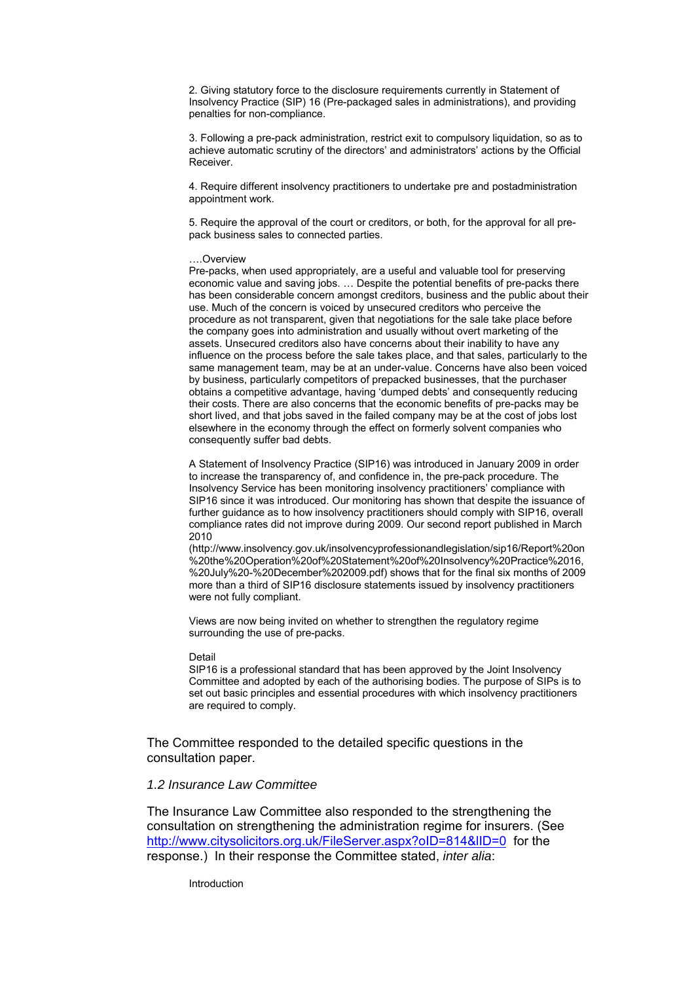2. Giving statutory force to the disclosure requirements currently in Statement of Insolvency Practice (SIP) 16 (Pre-packaged sales in administrations), and providing penalties for non-compliance.

3. Following a pre-pack administration, restrict exit to compulsory liquidation, so as to achieve automatic scrutiny of the directors' and administrators' actions by the Official Receiver.

4. Require different insolvency practitioners to undertake pre and postadministration appointment work.

5. Require the approval of the court or creditors, or both, for the approval for all prepack business sales to connected parties.

#### ….Overview

Pre-packs, when used appropriately, are a useful and valuable tool for preserving economic value and saving jobs. … Despite the potential benefits of pre-packs there has been considerable concern amongst creditors, business and the public about their use. Much of the concern is voiced by unsecured creditors who perceive the procedure as not transparent, given that negotiations for the sale take place before the company goes into administration and usually without overt marketing of the assets. Unsecured creditors also have concerns about their inability to have any influence on the process before the sale takes place, and that sales, particularly to the same management team, may be at an under-value. Concerns have also been voiced by business, particularly competitors of prepacked businesses, that the purchaser obtains a competitive advantage, having 'dumped debts' and consequently reducing their costs. There are also concerns that the economic benefits of pre-packs may be short lived, and that jobs saved in the failed company may be at the cost of jobs lost elsewhere in the economy through the effect on formerly solvent companies who consequently suffer bad debts.

A Statement of Insolvency Practice (SIP16) was introduced in January 2009 in order to increase the transparency of, and confidence in, the pre-pack procedure. The Insolvency Service has been monitoring insolvency practitioners' compliance with SIP16 since it was introduced. Our monitoring has shown that despite the issuance of further guidance as to how insolvency practitioners should comply with SIP16, overall compliance rates did not improve during 2009. Our second report published in March 2010

(http://www.insolvency.gov.uk/insolvencyprofessionandlegislation/sip16/Report%20on %20the%20Operation%20of%20Statement%20of%20Insolvency%20Practice%2016, %20July%20-%20December%202009.pdf) shows that for the final six months of 2009 more than a third of SIP16 disclosure statements issued by insolvency practitioners were not fully compliant.

Views are now being invited on whether to strengthen the regulatory regime surrounding the use of pre-packs.

#### Detail

SIP16 is a professional standard that has been approved by the Joint Insolvency Committee and adopted by each of the authorising bodies. The purpose of SIPs is to set out basic principles and essential procedures with which insolvency practitioners are required to comply.

The Committee responded to the detailed specific questions in the consultation paper.

### *1.2 Insurance Law Committee*

The Insurance Law Committee also responded to the strengthening the consultation on strengthening the administration regime for insurers. (See <http://www.citysolicitors.org.uk/FileServer.aspx?oID=814&lID=0> for the response.) In their response the Committee stated, *inter alia*:

Introduction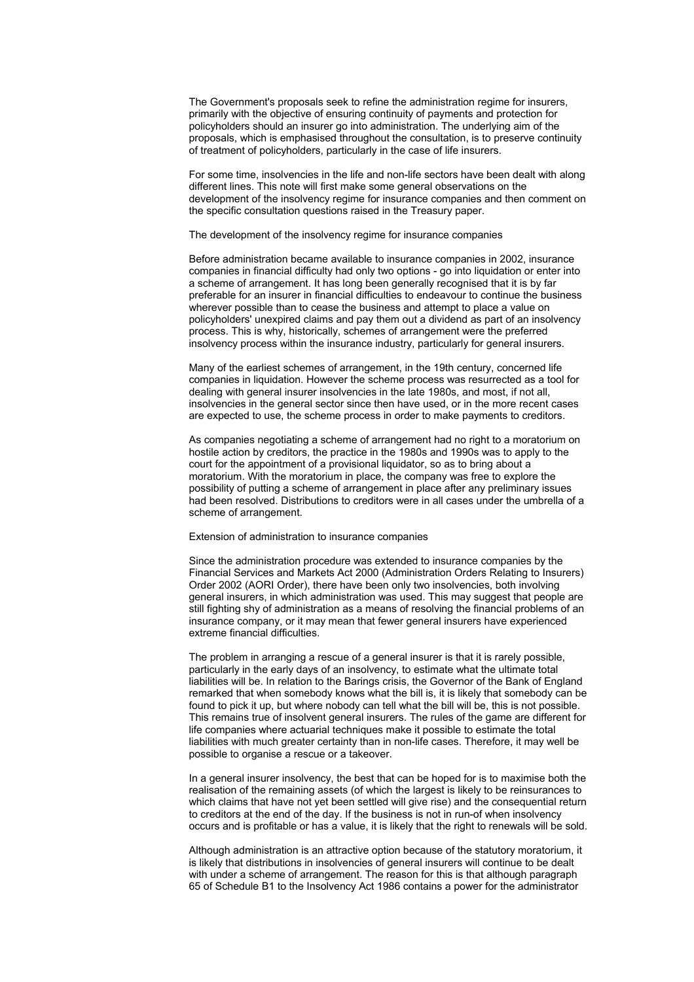The Government's proposals seek to refine the administration regime for insurers, primarily with the objective of ensuring continuity of payments and protection for policyholders should an insurer go into administration. The underlying aim of the proposals, which is emphasised throughout the consultation, is to preserve continuity of treatment of policyholders, particularly in the case of life insurers.

For some time, insolvencies in the life and non-life sectors have been dealt with along different lines. This note will first make some general observations on the development of the insolvency regime for insurance companies and then comment on the specific consultation questions raised in the Treasury paper.

The development of the insolvency regime for insurance companies

Before administration became available to insurance companies in 2002, insurance companies in financial difficulty had only two options - go into liquidation or enter into a scheme of arrangement. It has long been generally recognised that it is by far preferable for an insurer in financial difficulties to endeavour to continue the business wherever possible than to cease the business and attempt to place a value on policyholders' unexpired claims and pay them out a dividend as part of an insolvency process. This is why, historically, schemes of arrangement were the preferred insolvency process within the insurance industry, particularly for general insurers.

Many of the earliest schemes of arrangement, in the 19th century, concerned life companies in liquidation. However the scheme process was resurrected as a tool for dealing with general insurer insolvencies in the late 1980s, and most, if not all, insolvencies in the general sector since then have used, or in the more recent cases are expected to use, the scheme process in order to make payments to creditors.

As companies negotiating a scheme of arrangement had no right to a moratorium on hostile action by creditors, the practice in the 1980s and 1990s was to apply to the court for the appointment of a provisional liquidator, so as to bring about a moratorium. With the moratorium in place, the company was free to explore the possibility of putting a scheme of arrangement in place after any preliminary issues had been resolved. Distributions to creditors were in all cases under the umbrella of a scheme of arrangement.

#### Extension of administration to insurance companies

Since the administration procedure was extended to insurance companies by the Financial Services and Markets Act 2000 (Administration Orders Relating to Insurers) Order 2002 (AORI Order), there have been only two insolvencies, both involving general insurers, in which administration was used. This may suggest that people are still fighting shy of administration as a means of resolving the financial problems of an insurance company, or it may mean that fewer general insurers have experienced extreme financial difficulties.

The problem in arranging a rescue of a general insurer is that it is rarely possible, particularly in the early days of an insolvency, to estimate what the ultimate total liabilities will be. In relation to the Barings crisis, the Governor of the Bank of England remarked that when somebody knows what the bill is, it is likely that somebody can be found to pick it up, but where nobody can tell what the bill will be, this is not possible. This remains true of insolvent general insurers. The rules of the game are different for life companies where actuarial techniques make it possible to estimate the total liabilities with much greater certainty than in non-life cases. Therefore, it may well be possible to organise a rescue or a takeover.

In a general insurer insolvency, the best that can be hoped for is to maximise both the realisation of the remaining assets (of which the largest is likely to be reinsurances to which claims that have not yet been settled will give rise) and the consequential return to creditors at the end of the day. If the business is not in run-of when insolvency occurs and is profitable or has a value, it is likely that the right to renewals will be sold.

Although administration is an attractive option because of the statutory moratorium, it is likely that distributions in insolvencies of general insurers will continue to be dealt with under a scheme of arrangement. The reason for this is that although paragraph 65 of Schedule B1 to the Insolvency Act 1986 contains a power for the administrator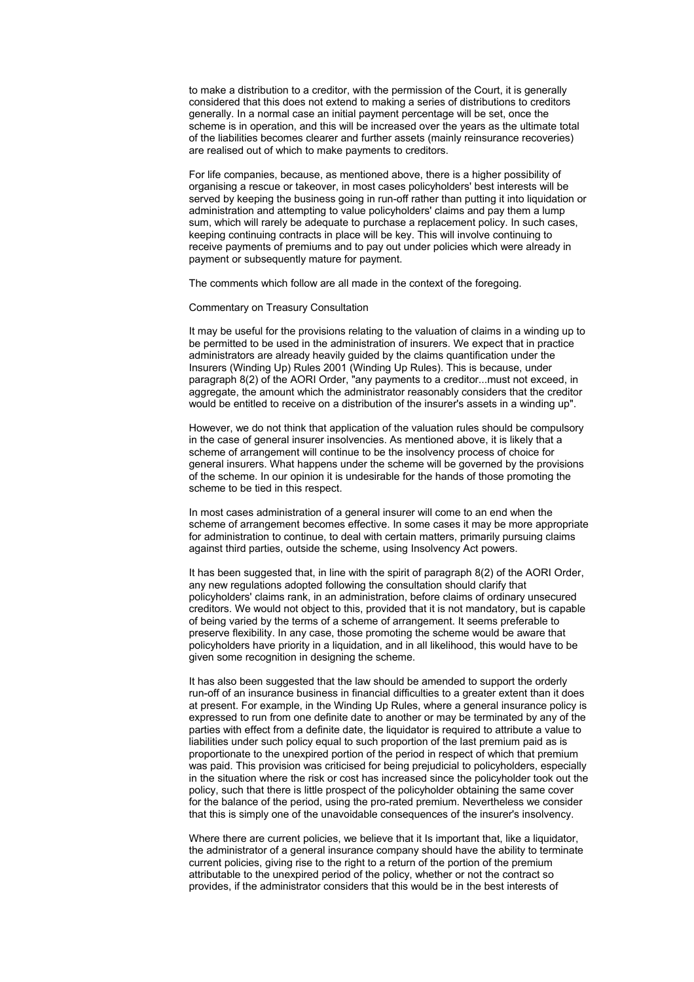to make a distribution to a creditor, with the permission of the Court, it is generally considered that this does not extend to making a series of distributions to creditors generally. In a normal case an initial payment percentage will be set, once the scheme is in operation, and this will be increased over the years as the ultimate total of the liabilities becomes clearer and further assets (mainly reinsurance recoveries) are realised out of which to make payments to creditors.

For life companies, because, as mentioned above, there is a higher possibility of organising a rescue or takeover, in most cases policyholders' best interests will be served by keeping the business going in run-off rather than putting it into liquidation or administration and attempting to value policyholders' claims and pay them a lump sum, which will rarely be adequate to purchase a replacement policy. In such cases, keeping continuing contracts in place will be key. This will involve continuing to receive payments of premiums and to pay out under policies which were already in payment or subsequently mature for payment.

The comments which follow are all made in the context of the foregoing.

#### Commentary on Treasury Consultation

It may be useful for the provisions relating to the valuation of claims in a winding up to be permitted to be used in the administration of insurers. We expect that in practice administrators are already heavily guided by the claims quantification under the Insurers (Winding Up) Rules 2001 (Winding Up Rules). This is because, under paragraph 8(2) of the AORI Order, "any payments to a creditor...must not exceed, in aggregate, the amount which the administrator reasonably considers that the creditor would be entitled to receive on a distribution of the insurer's assets in a winding up".

However, we do not think that application of the valuation rules should be compulsory in the case of general insurer insolvencies. As mentioned above, it is likely that a scheme of arrangement will continue to be the insolvency process of choice for general insurers. What happens under the scheme will be governed by the provisions of the scheme. In our opinion it is undesirable for the hands of those promoting the scheme to be tied in this respect.

In most cases administration of a general insurer will come to an end when the scheme of arrangement becomes effective. In some cases it may be more appropriate for administration to continue, to deal with certain matters, primarily pursuing claims against third parties, outside the scheme, using Insolvency Act powers.

It has been suggested that, in line with the spirit of paragraph 8(2) of the AORI Order, any new regulations adopted following the consultation should clarify that policyholders' claims rank, in an administration, before claims of ordinary unsecured creditors. We would not object to this, provided that it is not mandatory, but is capable of being varied by the terms of a scheme of arrangement. It seems preferable to preserve flexibility. In any case, those promoting the scheme would be aware that policyholders have priority in a liquidation, and in all likelihood, this would have to be given some recognition in designing the scheme.

It has also been suggested that the law should be amended to support the orderly run-off of an insurance business in financial difficulties to a greater extent than it does at present. For example, in the Winding Up Rules, where a general insurance policy is expressed to run from one definite date to another or may be terminated by any of the parties with effect from a definite date, the liquidator is required to attribute a value to liabilities under such policy equal to such proportion of the last premium paid as is proportionate to the unexpired portion of the period in respect of which that premium was paid. This provision was criticised for being prejudicial to policyholders, especially in the situation where the risk or cost has increased since the policyholder took out the policy, such that there is little prospect of the policyholder obtaining the same cover for the balance of the period, using the pro-rated premium. Nevertheless we consider that this is simply one of the unavoidable consequences of the insurer's insolvency.

Where there are current policies, we believe that it Is important that, like a liquidator. the administrator of a general insurance company should have the ability to terminate current policies, giving rise to the right to a return of the portion of the premium attributable to the unexpired period of the policy, whether or not the contract so provides, if the administrator considers that this would be in the best interests of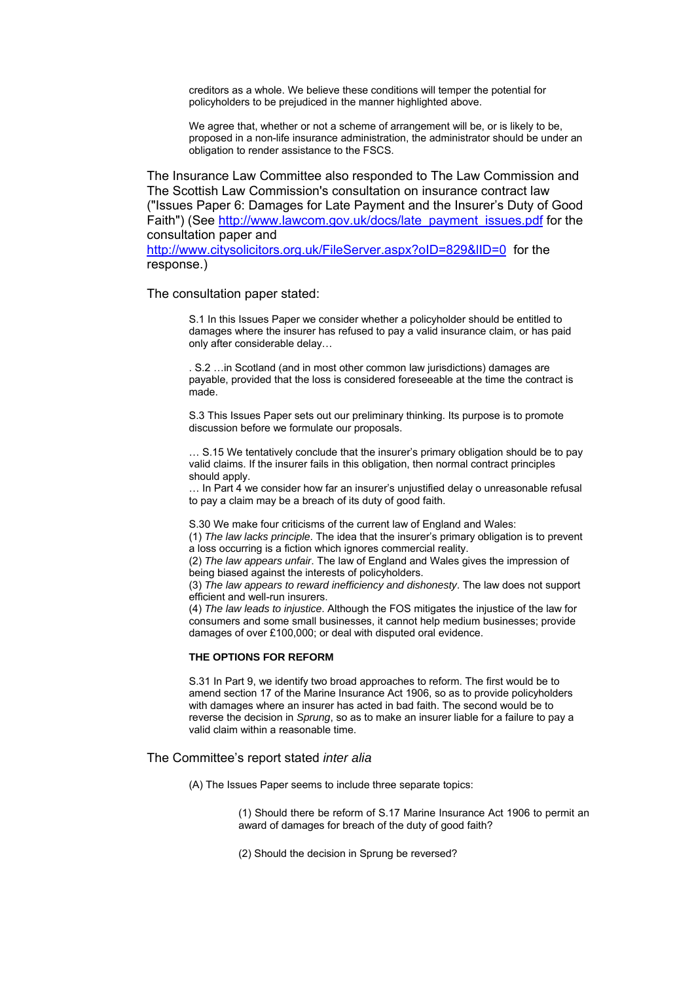creditors as a whole. We believe these conditions will temper the potential for policyholders to be prejudiced in the manner highlighted above.

We agree that, whether or not a scheme of arrangement will be, or is likely to be, proposed in a non-life insurance administration, the administrator should be under an obligation to render assistance to the FSCS.

The Insurance Law Committee also responded to The Law Commission and The Scottish Law Commission's consultation on insurance contract law ("Issues Paper 6: Damages for Late Payment and the Insurer's Duty of Good Faith") (See [http://www.lawcom.gov.uk/docs/late\\_payment\\_issues.pdf](http://www.lawcom.gov.uk/docs/late_payment_issues.pdf) for the consultation paper and

<http://www.citysolicitors.org.uk/FileServer.aspx?oID=829&lID=0> for the response.)

The consultation paper stated:

S.1 In this Issues Paper we consider whether a policyholder should be entitled to damages where the insurer has refused to pay a valid insurance claim, or has paid only after considerable delay…

. S.2 …in Scotland (and in most other common law jurisdictions) damages are payable, provided that the loss is considered foreseeable at the time the contract is made.

S.3 This Issues Paper sets out our preliminary thinking. Its purpose is to promote discussion before we formulate our proposals.

… S.15 We tentatively conclude that the insurer's primary obligation should be to pay valid claims. If the insurer fails in this obligation, then normal contract principles should apply.

… In Part 4 we consider how far an insurer's unjustified delay o unreasonable refusal to pay a claim may be a breach of its duty of good faith.

S.30 We make four criticisms of the current law of England and Wales:

(1) *The law lacks principle*. The idea that the insurer's primary obligation is to prevent a loss occurring is a fiction which ignores commercial reality.

(2) *The law appears unfair*. The law of England and Wales gives the impression of being biased against the interests of policyholders.

(3) *The law appears to reward inefficiency and dishonesty*. The law does not support efficient and well-run insurers.

(4) *The law leads to injustice*. Although the FOS mitigates the injustice of the law for consumers and some small businesses, it cannot help medium businesses; provide damages of over £100,000; or deal with disputed oral evidence.

### **THE OPTIONS FOR REFORM**

S.31 In Part 9, we identify two broad approaches to reform. The first would be to amend section 17 of the Marine Insurance Act 1906, so as to provide policyholders with damages where an insurer has acted in bad faith. The second would be to reverse the decision in *Sprung*, so as to make an insurer liable for a failure to pay a valid claim within a reasonable time.

The Committee's report stated *inter alia*

(A) The Issues Paper seems to include three separate topics:

(1) Should there be reform of S.17 Marine Insurance Act 1906 to permit an award of damages for breach of the duty of good faith?

(2) Should the decision in Sprung be reversed?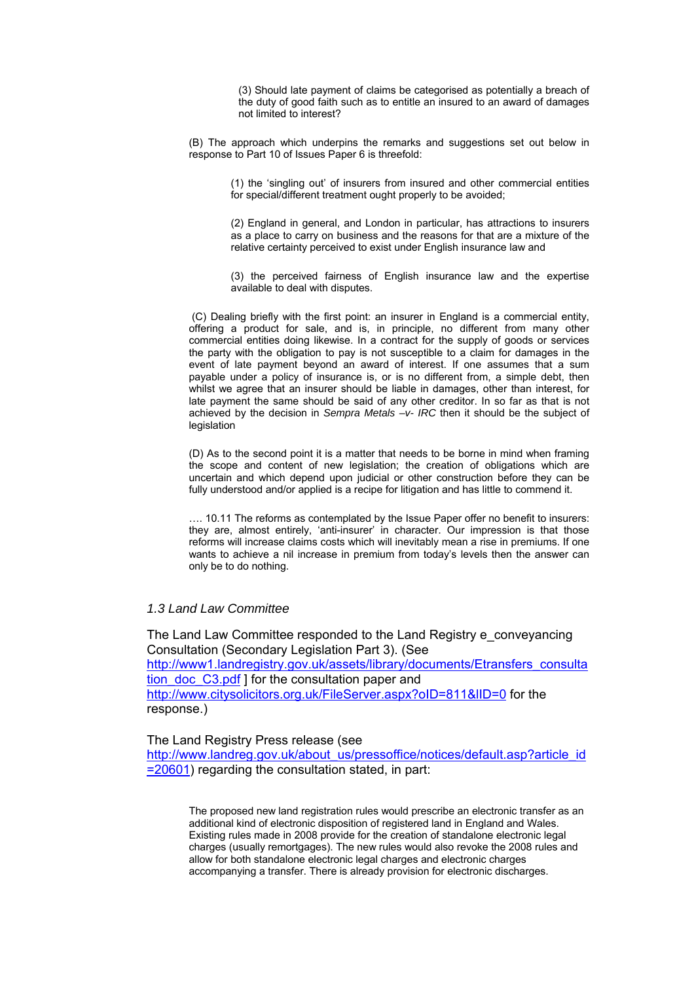(3) Should late payment of claims be categorised as potentially a breach of the duty of good faith such as to entitle an insured to an award of damages not limited to interest?

(B) The approach which underpins the remarks and suggestions set out below in response to Part 10 of Issues Paper 6 is threefold:

> (1) the 'singling out' of insurers from insured and other commercial entities for special/different treatment ought properly to be avoided;

> (2) England in general, and London in particular, has attractions to insurers as a place to carry on business and the reasons for that are a mixture of the relative certainty perceived to exist under English insurance law and

> (3) the perceived fairness of English insurance law and the expertise available to deal with disputes.

 (C) Dealing briefly with the first point: an insurer in England is a commercial entity, offering a product for sale, and is, in principle, no different from many other commercial entities doing likewise. In a contract for the supply of goods or services the party with the obligation to pay is not susceptible to a claim for damages in the event of late payment beyond an award of interest. If one assumes that a sum payable under a policy of insurance is, or is no different from, a simple debt, then whilst we agree that an insurer should be liable in damages, other than interest, for late payment the same should be said of any other creditor. In so far as that is not achieved by the decision in *Sempra Metals –v- IRC* then it should be the subject of legislation

(D) As to the second point it is a matter that needs to be borne in mind when framing the scope and content of new legislation; the creation of obligations which are uncertain and which depend upon judicial or other construction before they can be fully understood and/or applied is a recipe for litigation and has little to commend it.

…. 10.11 The reforms as contemplated by the Issue Paper offer no benefit to insurers: they are, almost entirely, 'anti-insurer' in character. Our impression is that those reforms will increase claims costs which will inevitably mean a rise in premiums. If one wants to achieve a nil increase in premium from today's levels then the answer can only be to do nothing.

## *1.3 Land Law Committee*

The Land Law Committee responded to the Land Registry e\_conveyancing Consultation (Secondary Legislation Part 3). (See [http://www1.landregistry.gov.uk/assets/library/documents/Etransfers\\_consulta](http://www1.landregistry.gov.uk/assets/library/documents/Etransfers_consultation_doc_C3.pdf) [tion\\_doc\\_C3.pdf](http://www1.landregistry.gov.uk/assets/library/documents/Etransfers_consultation_doc_C3.pdf) ] for the consultation paper and <http://www.citysolicitors.org.uk/FileServer.aspx?oID=811&lID=0> for the response.)

The Land Registry Press release (see [http://www.landreg.gov.uk/about\\_us/pressoffice/notices/default.asp?article\\_id](http://www.landreg.gov.uk/about_us/pressoffice/notices/default.asp?article_id=20601) [=20601](http://www.landreg.gov.uk/about_us/pressoffice/notices/default.asp?article_id=20601)) regarding the consultation stated, in part:

The proposed new land registration rules would prescribe an electronic transfer as an additional kind of electronic disposition of registered land in England and Wales. Existing rules made in 2008 provide for the creation of standalone electronic legal charges (usually remortgages). The new rules would also revoke the 2008 rules and allow for both standalone electronic legal charges and electronic charges accompanying a transfer. There is already provision for electronic discharges.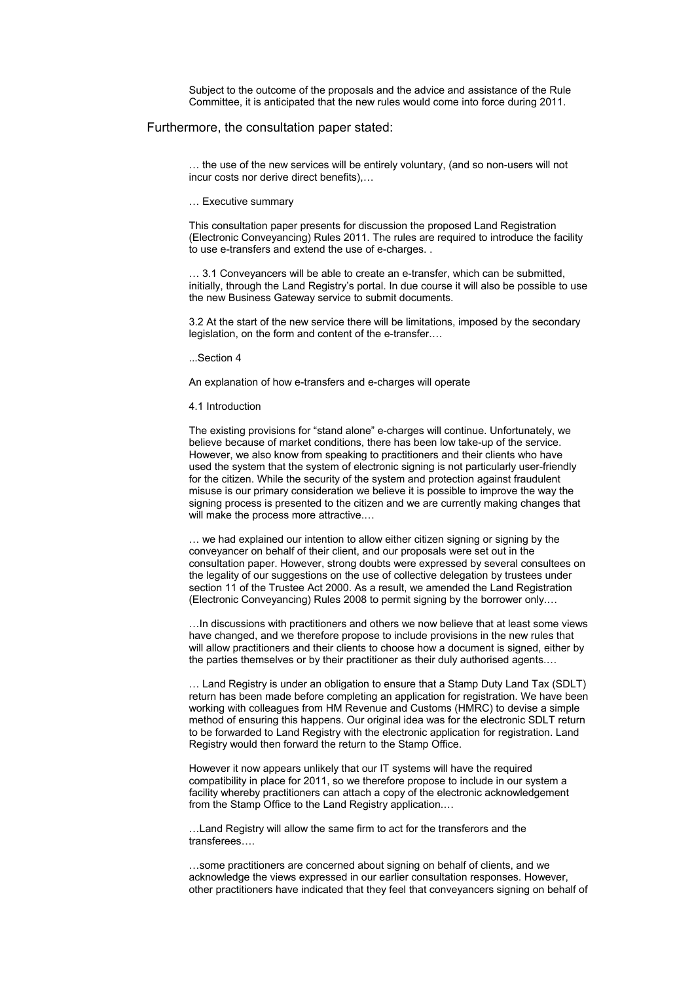Subject to the outcome of the proposals and the advice and assistance of the Rule Committee, it is anticipated that the new rules would come into force during 2011.

### Furthermore, the consultation paper stated:

… the use of the new services will be entirely voluntary, (and so non-users will not incur costs nor derive direct benefits),…

… Executive summary

This consultation paper presents for discussion the proposed Land Registration (Electronic Conveyancing) Rules 2011. The rules are required to introduce the facility to use e-transfers and extend the use of e-charges. .

… 3.1 Conveyancers will be able to create an e-transfer, which can be submitted, initially, through the Land Registry's portal. In due course it will also be possible to use the new Business Gateway service to submit documents.

3.2 At the start of the new service there will be limitations, imposed by the secondary legislation, on the form and content of the e-transfer.…

...Section 4

An explanation of how e-transfers and e-charges will operate

#### 4.1 Introduction

The existing provisions for "stand alone" e-charges will continue. Unfortunately, we believe because of market conditions, there has been low take-up of the service. However, we also know from speaking to practitioners and their clients who have used the system that the system of electronic signing is not particularly user-friendly for the citizen. While the security of the system and protection against fraudulent misuse is our primary consideration we believe it is possible to improve the way the signing process is presented to the citizen and we are currently making changes that will make the process more attractive.…

… we had explained our intention to allow either citizen signing or signing by the conveyancer on behalf of their client, and our proposals were set out in the consultation paper. However, strong doubts were expressed by several consultees on the legality of our suggestions on the use of collective delegation by trustees under section 11 of the Trustee Act 2000. As a result, we amended the Land Registration (Electronic Conveyancing) Rules 2008 to permit signing by the borrower only.…

…In discussions with practitioners and others we now believe that at least some views have changed, and we therefore propose to include provisions in the new rules that will allow practitioners and their clients to choose how a document is signed, either by the parties themselves or by their practitioner as their duly authorised agents.…

… Land Registry is under an obligation to ensure that a Stamp Duty Land Tax (SDLT) return has been made before completing an application for registration. We have been working with colleagues from HM Revenue and Customs (HMRC) to devise a simple method of ensuring this happens. Our original idea was for the electronic SDLT return to be forwarded to Land Registry with the electronic application for registration. Land Registry would then forward the return to the Stamp Office.

However it now appears unlikely that our IT systems will have the required compatibility in place for 2011, so we therefore propose to include in our system a facility whereby practitioners can attach a copy of the electronic acknowledgement from the Stamp Office to the Land Registry application.…

…Land Registry will allow the same firm to act for the transferors and the transferees….

…some practitioners are concerned about signing on behalf of clients, and we acknowledge the views expressed in our earlier consultation responses. However, other practitioners have indicated that they feel that conveyancers signing on behalf of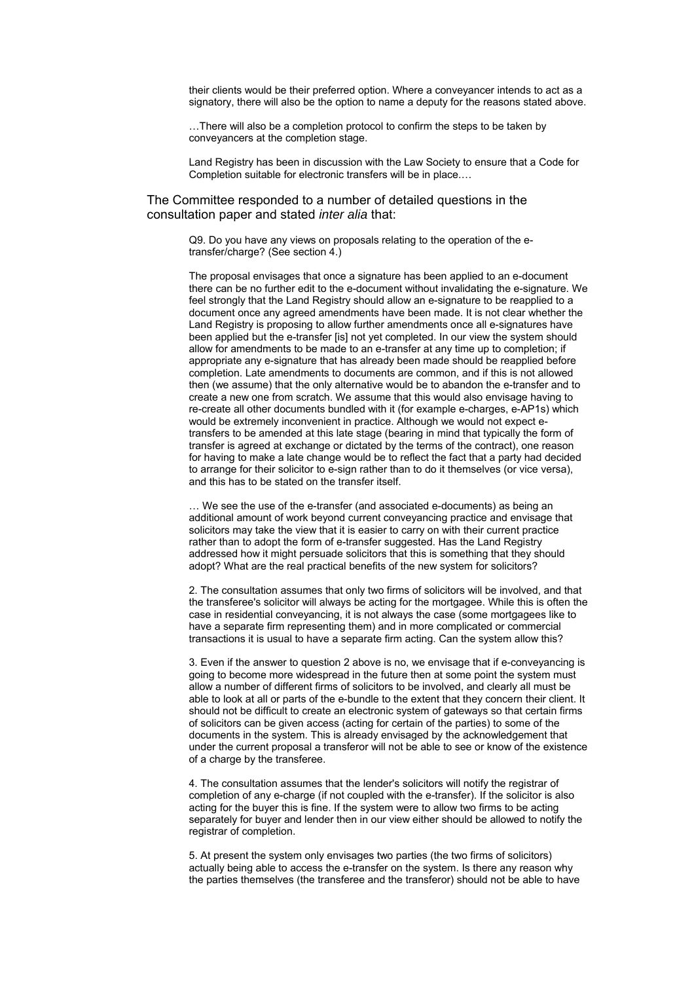their clients would be their preferred option. Where a conveyancer intends to act as a signatory, there will also be the option to name a deputy for the reasons stated above.

…There will also be a completion protocol to confirm the steps to be taken by conveyancers at the completion stage.

Land Registry has been in discussion with the Law Society to ensure that a Code for Completion suitable for electronic transfers will be in place.…

## The Committee responded to a number of detailed questions in the consultation paper and stated *inter alia* that:

Q9. Do you have any views on proposals relating to the operation of the etransfer/charge? (See section 4.)

The proposal envisages that once a signature has been applied to an e-document there can be no further edit to the e-document without invalidating the e-signature. We feel strongly that the Land Registry should allow an e-signature to be reapplied to a document once any agreed amendments have been made. It is not clear whether the Land Registry is proposing to allow further amendments once all e-signatures have been applied but the e-transfer [is] not yet completed. In our view the system should allow for amendments to be made to an e-transfer at any time up to completion; if appropriate any e-signature that has already been made should be reapplied before completion. Late amendments to documents are common, and if this is not allowed then (we assume) that the only alternative would be to abandon the e-transfer and to create a new one from scratch. We assume that this would also envisage having to re-create all other documents bundled with it (for example e-charges, e-AP1s) which would be extremely inconvenient in practice. Although we would not expect etransfers to be amended at this late stage (bearing in mind that typically the form of transfer is agreed at exchange or dictated by the terms of the contract), one reason for having to make a late change would be to reflect the fact that a party had decided to arrange for their solicitor to e-sign rather than to do it themselves (or vice versa), and this has to be stated on the transfer itself.

… We see the use of the e-transfer (and associated e-documents) as being an additional amount of work beyond current conveyancing practice and envisage that solicitors may take the view that it is easier to carry on with their current practice rather than to adopt the form of e-transfer suggested. Has the Land Registry addressed how it might persuade solicitors that this is something that they should adopt? What are the real practical benefits of the new system for solicitors?

2. The consultation assumes that only two firms of solicitors will be involved, and that the transferee's solicitor will always be acting for the mortgagee. While this is often the case in residential conveyancing, it is not always the case (some mortgagees like to have a separate firm representing them) and in more complicated or commercial transactions it is usual to have a separate firm acting. Can the system allow this?

3. Even if the answer to question 2 above is no, we envisage that if e-conveyancing is going to become more widespread in the future then at some point the system must allow a number of different firms of solicitors to be involved, and clearly all must be able to look at all or parts of the e-bundle to the extent that they concern their client. It should not be difficult to create an electronic system of gateways so that certain firms of solicitors can be given access (acting for certain of the parties) to some of the documents in the system. This is already envisaged by the acknowledgement that under the current proposal a transferor will not be able to see or know of the existence of a charge by the transferee.

4. The consultation assumes that the lender's solicitors will notify the registrar of completion of any e-charge (if not coupled with the e-transfer). If the solicitor is also acting for the buyer this is fine. If the system were to allow two firms to be acting separately for buyer and lender then in our view either should be allowed to notify the registrar of completion.

5. At present the system only envisages two parties (the two firms of solicitors) actually being able to access the e-transfer on the system. Is there any reason why the parties themselves (the transferee and the transferor) should not be able to have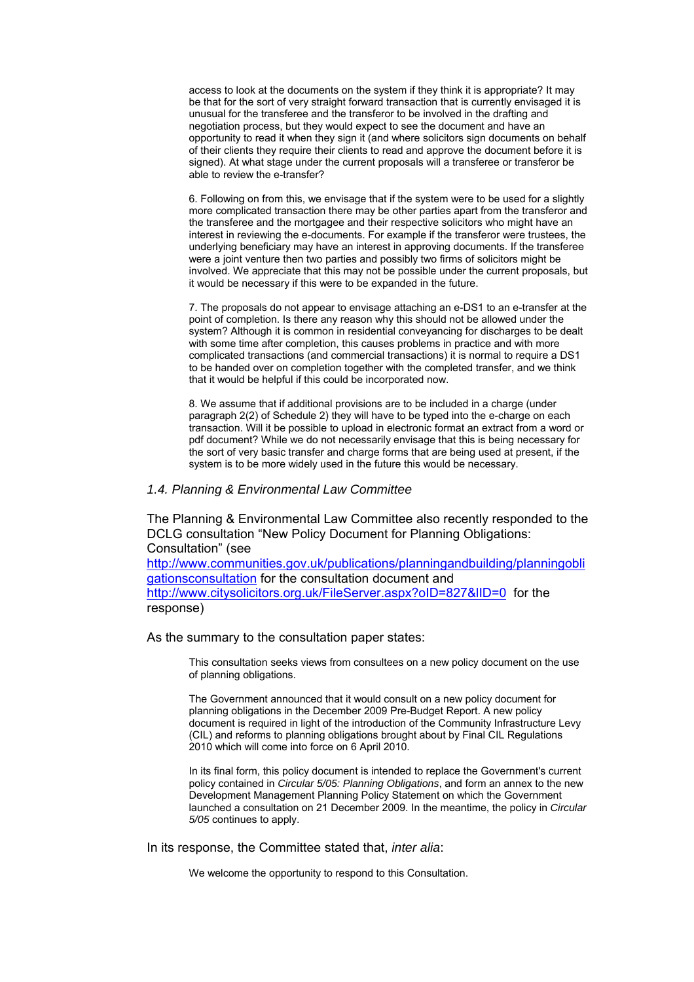access to look at the documents on the system if they think it is appropriate? It may be that for the sort of very straight forward transaction that is currently envisaged it is unusual for the transferee and the transferor to be involved in the drafting and negotiation process, but they would expect to see the document and have an opportunity to read it when they sign it (and where solicitors sign documents on behalf of their clients they require their clients to read and approve the document before it is signed). At what stage under the current proposals will a transferee or transferor be able to review the e-transfer?

6. Following on from this, we envisage that if the system were to be used for a slightly more complicated transaction there may be other parties apart from the transferor and the transferee and the mortgagee and their respective solicitors who might have an interest in reviewing the e-documents. For example if the transferor were trustees, the underlying beneficiary may have an interest in approving documents. If the transferee were a joint venture then two parties and possibly two firms of solicitors might be involved. We appreciate that this may not be possible under the current proposals, but it would be necessary if this were to be expanded in the future.

7. The proposals do not appear to envisage attaching an e-DS1 to an e-transfer at the point of completion. Is there any reason why this should not be allowed under the system? Although it is common in residential conveyancing for discharges to be dealt with some time after completion, this causes problems in practice and with more complicated transactions (and commercial transactions) it is normal to require a DS1 to be handed over on completion together with the completed transfer, and we think that it would be helpful if this could be incorporated now.

8. We assume that if additional provisions are to be included in a charge (under paragraph 2(2) of Schedule 2) they will have to be typed into the e-charge on each transaction. Will it be possible to upload in electronic format an extract from a word or pdf document? While we do not necessarily envisage that this is being necessary for the sort of very basic transfer and charge forms that are being used at present, if the system is to be more widely used in the future this would be necessary.

## *1.4. Planning & Environmental Law Committee*

The Planning & Environmental Law Committee also recently responded to the DCLG consultation "New Policy Document for Planning Obligations: Consultation" (see

[http://www.communities.gov.uk/publications/planningandbuilding/planningobli](http://www.communities.gov.uk/publications/planningandbuilding/planningobligationsconsultation) [gationsconsultation](http://www.communities.gov.uk/publications/planningandbuilding/planningobligationsconsultation) for the consultation document and <http://www.citysolicitors.org.uk/FileServer.aspx?oID=827&lID=0> for the response)

As the summary to the consultation paper states:

This consultation seeks views from consultees on a new policy document on the use of planning obligations.

The Government announced that it would consult on a new policy document for planning obligations in the December 2009 Pre-Budget Report. A new policy document is required in light of the introduction of the Community Infrastructure Levy (CIL) and reforms to planning obligations brought about by Final CIL Regulations 2010 which will come into force on 6 April 2010.

In its final form, this policy document is intended to replace the Government's current policy contained in *Circular 5/05: Planning Obligations*, and form an annex to the new Development Management Planning Policy Statement on which the Government launched a consultation on 21 December 2009. In the meantime, the policy in *Circular 5/05* continues to apply.

In its response, the Committee stated that, *inter alia*:

We welcome the opportunity to respond to this Consultation.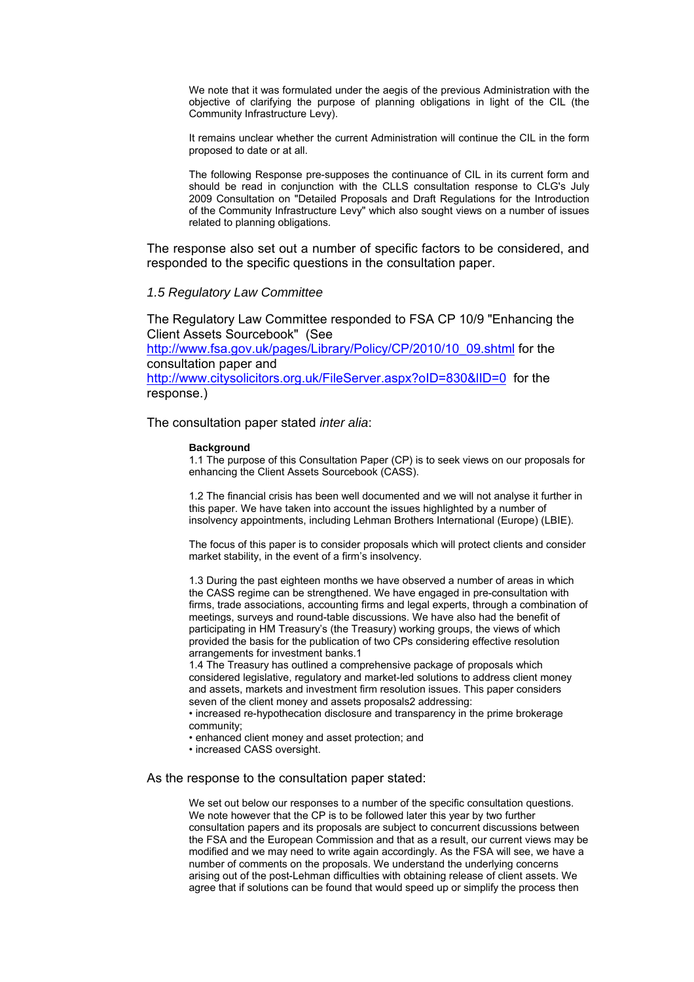We note that it was formulated under the aegis of the previous Administration with the objective of clarifying the purpose of planning obligations in light of the CIL (the Community Infrastructure Levy).

It remains unclear whether the current Administration will continue the CIL in the form proposed to date or at all.

The following Response pre-supposes the continuance of CIL in its current form and should be read in conjunction with the CLLS consultation response to CLG's July 2009 Consultation on "Detailed Proposals and Draft Regulations for the Introduction of the Community Infrastructure Levy" which also sought views on a number of issues related to planning obligations.

The response also set out a number of specific factors to be considered, and responded to the specific questions in the consultation paper.

## *1.5 Regulatory Law Committee*

The Regulatory Law Committee responded to FSA CP 10/9 "Enhancing the Client Assets Sourcebook" (See [http://www.fsa.gov.uk/pages/Library/Policy/CP/2010/10\\_09.shtml](http://www.fsa.gov.uk/pages/Library/Policy/CP/2010/10_09.shtml) for the consultation paper and <http://www.citysolicitors.org.uk/FileServer.aspx?oID=830&lID=0> for the response.)

The consultation paper stated *inter alia*:

#### **Background**

1.1 The purpose of this Consultation Paper (CP) is to seek views on our proposals for enhancing the Client Assets Sourcebook (CASS).

1.2 The financial crisis has been well documented and we will not analyse it further in this paper. We have taken into account the issues highlighted by a number of insolvency appointments, including Lehman Brothers International (Europe) (LBIE).

The focus of this paper is to consider proposals which will protect clients and consider market stability, in the event of a firm's insolvency.

1.3 During the past eighteen months we have observed a number of areas in which the CASS regime can be strengthened. We have engaged in pre-consultation with firms, trade associations, accounting firms and legal experts, through a combination of meetings, surveys and round-table discussions. We have also had the benefit of participating in HM Treasury's (the Treasury) working groups, the views of which provided the basis for the publication of two CPs considering effective resolution arrangements for investment banks.1

1.4 The Treasury has outlined a comprehensive package of proposals which considered legislative, regulatory and market-led solutions to address client money and assets, markets and investment firm resolution issues. This paper considers seven of the client money and assets proposals2 addressing:

• increased re-hypothecation disclosure and transparency in the prime brokerage community;

• enhanced client money and asset protection; and

• increased CASS oversight.

## As the response to the consultation paper stated:

We set out below our responses to a number of the specific consultation questions. We note however that the CP is to be followed later this year by two further consultation papers and its proposals are subject to concurrent discussions between the FSA and the European Commission and that as a result, our current views may be modified and we may need to write again accordingly. As the FSA will see, we have a number of comments on the proposals. We understand the underlying concerns arising out of the post-Lehman difficulties with obtaining release of client assets. We agree that if solutions can be found that would speed up or simplify the process then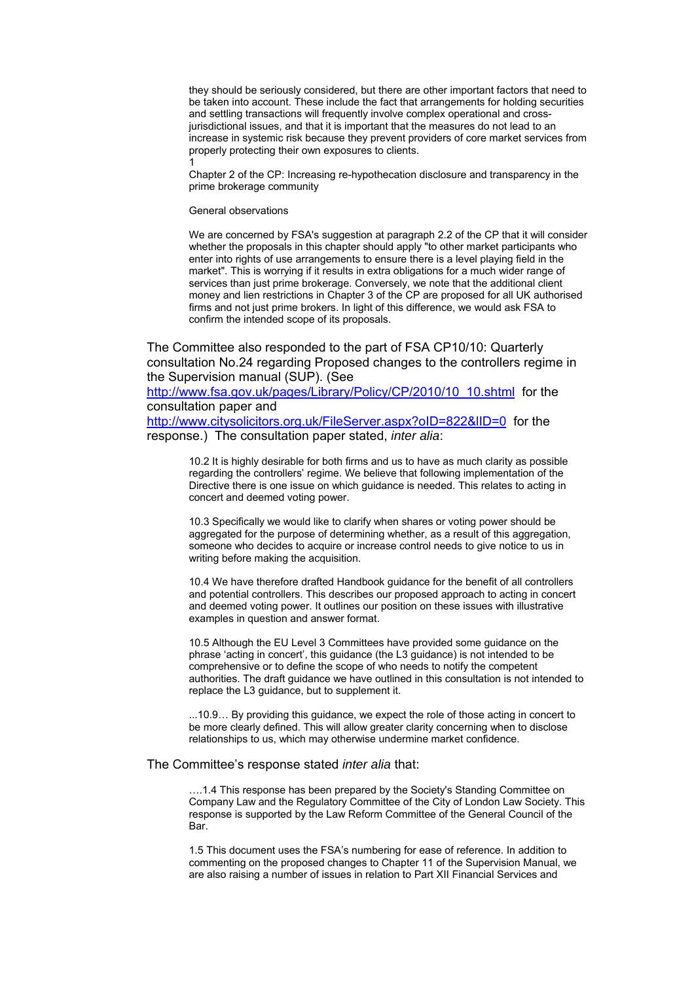they should be seriously considered, but there are other important factors that need to be taken into account. These include the fact that arrangements for holding securities and settling transactions will frequently involve complex operational and crossjurisdictional issues, and that it is important that the measures do not lead to an increase in systemic risk because they prevent providers of core market services from properly protecting their own exposures to clients.

Chapter 2 of the CP: Increasing re-hypothecation disclosure and transparency in the prime brokerage community

General observations

1

We are concerned by FSA's suggestion at paragraph 2.2 of the CP that it will consider whether the proposals in this chapter should apply "to other market participants who enter into rights of use arrangements to ensure there is a level playing field in the market". This is worrying if it results in extra obligations for a much wider range of services than just prime brokerage. Conversely, we note that the additional client money and lien restrictions in Chapter 3 of the CP are proposed for all UK authorised firms and not just prime brokers. In light of this difference, we would ask FSA to confirm the intended scope of its proposals.

The Committee also responded to the part of FSA CP10/10: Quarterly consultation No.24 regarding Proposed changes to the controllers regime in the Supervision manual (SUP). (See

[http://www.fsa.gov.uk/pages/Library/Policy/CP/2010/10\\_10.shtml](http://www.fsa.gov.uk/pages/Library/Policy/CP/2010/10_10.shtml) for the consultation paper and

<http://www.citysolicitors.org.uk/FileServer.aspx?oID=822&lID=0> for the response.) The consultation paper stated, *inter alia*:

> 10.2 It is highly desirable for both firms and us to have as much clarity as possible regarding the controllers' regime. We believe that following implementation of the Directive there is one issue on which guidance is needed. This relates to acting in concert and deemed voting power.

> 10.3 Specifically we would like to clarify when shares or voting power should be aggregated for the purpose of determining whether, as a result of this aggregation, someone who decides to acquire or increase control needs to give notice to us in writing before making the acquisition.

10.4 We have therefore drafted Handbook guidance for the benefit of all controllers and potential controllers. This describes our proposed approach to acting in concert and deemed voting power. It outlines our position on these issues with illustrative examples in question and answer format.

10.5 Although the EU Level 3 Committees have provided some guidance on the phrase 'acting in concert', this guidance (the L3 guidance) is not intended to be comprehensive or to define the scope of who needs to notify the competent authorities. The draft guidance we have outlined in this consultation is not intended to replace the L3 guidance, but to supplement it.

...10.9… By providing this guidance, we expect the role of those acting in concert to be more clearly defined. This will allow greater clarity concerning when to disclose relationships to us, which may otherwise undermine market confidence.

The Committee's response stated *inter alia* that:

....1.4 This response has been prepared by the Society's Standing Committee on Company Law and the Regulatory Committee of the City of London Law Society. This response is supported by the Law Reform Committee of the General Council of the Bar.

1.5 This document uses the FSA's numbering for ease of reference. In addition to commenting on the proposed changes to Chapter 11 of the Supervision Manual, we are also raising a number of issues in relation to Part XII Financial Services and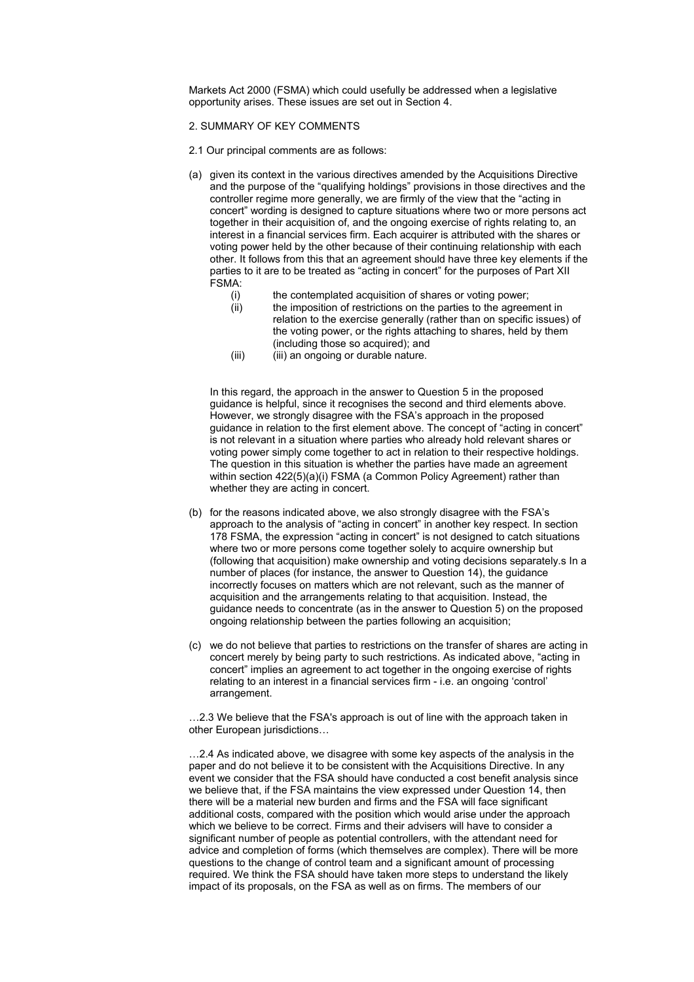Markets Act 2000 (FSMA) which could usefully be addressed when a legislative opportunity arises. These issues are set out in Section 4.

### 2. SUMMARY OF KEY COMMENTS

- 2.1 Our principal comments are as follows:
- (a) given its context in the various directives amended by the Acquisitions Directive and the purpose of the "qualifying holdings" provisions in those directives and the controller regime more generally, we are firmly of the view that the "acting in concert" wording is designed to capture situations where two or more persons act together in their acquisition of, and the ongoing exercise of rights relating to, an interest in a financial services firm. Each acquirer is attributed with the shares or voting power held by the other because of their continuing relationship with each other. It follows from this that an agreement should have three key elements if the parties to it are to be treated as "acting in concert" for the purposes of Part XII FSMA:
	- (i) the contemplated acquisition of shares or voting power;
	- (ii) the imposition of restrictions on the parties to the agreement in relation to the exercise generally (rather than on specific issues) of the voting power, or the rights attaching to shares, held by them (including those so acquired); and
	- (iii) (iii) an ongoing or durable nature.

In this regard, the approach in the answer to Question 5 in the proposed guidance is helpful, since it recognises the second and third elements above. However, we strongly disagree with the FSA's approach in the proposed guidance in relation to the first element above. The concept of "acting in concert" is not relevant in a situation where parties who already hold relevant shares or voting power simply come together to act in relation to their respective holdings. The question in this situation is whether the parties have made an agreement within section 422(5)(a)(i) FSMA (a Common Policy Agreement) rather than whether they are acting in concert.

- (b) for the reasons indicated above, we also strongly disagree with the FSA's approach to the analysis of "acting in concert" in another key respect. In section 178 FSMA, the expression "acting in concert" is not designed to catch situations where two or more persons come together solely to acquire ownership but (following that acquisition) make ownership and voting decisions separately.s In a number of places (for instance, the answer to Question 14), the guidance incorrectly focuses on matters which are not relevant, such as the manner of acquisition and the arrangements relating to that acquisition. Instead, the guidance needs to concentrate (as in the answer to Question 5) on the proposed ongoing relationship between the parties following an acquisition;
- (c) we do not believe that parties to restrictions on the transfer of shares are acting in concert merely by being party to such restrictions. As indicated above, "acting in concert" implies an agreement to act together in the ongoing exercise of rights relating to an interest in a financial services firm - i.e. an ongoing 'control' arrangement.

…2.3 We believe that the FSA's approach is out of line with the approach taken in other European jurisdictions…

…2.4 As indicated above, we disagree with some key aspects of the analysis in the paper and do not believe it to be consistent with the Acquisitions Directive. In any event we consider that the FSA should have conducted a cost benefit analysis since we believe that, if the FSA maintains the view expressed under Question 14, then there will be a material new burden and firms and the FSA will face significant additional costs, compared with the position which would arise under the approach which we believe to be correct. Firms and their advisers will have to consider a significant number of people as potential controllers, with the attendant need for advice and completion of forms (which themselves are complex). There will be more questions to the change of control team and a significant amount of processing required. We think the FSA should have taken more steps to understand the likely impact of its proposals, on the FSA as well as on firms. The members of our